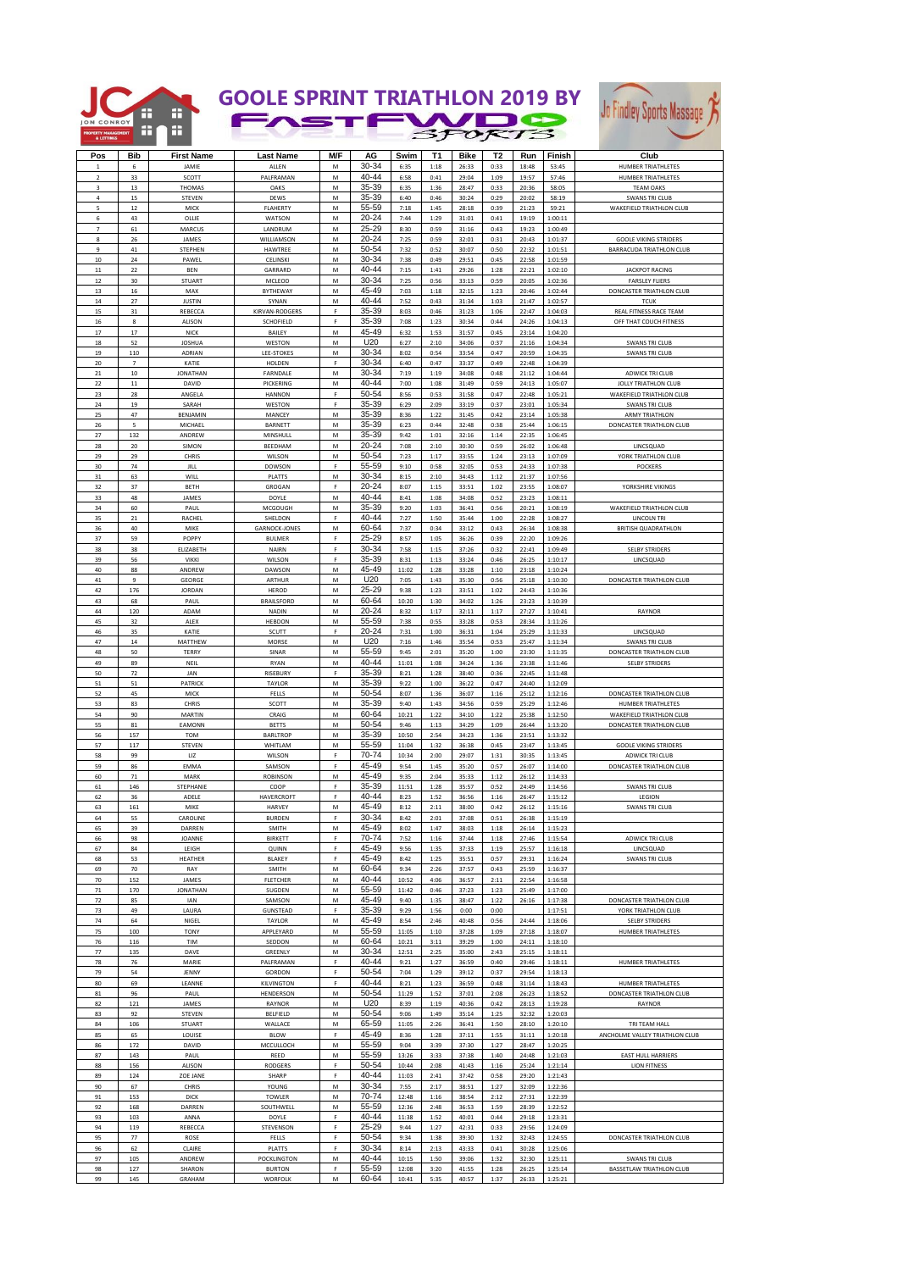

## **GOOLE SPRINT TRIATHLON 2019 BY**



| Pos                     | <b>Bib</b>               | <b>First Name</b>       | <b>Last Name</b>                | M/F                | AG             | Swim           | T1           | <b>Bike</b>    | T <sub>2</sub> | Run            | Finish             | Club                            |
|-------------------------|--------------------------|-------------------------|---------------------------------|--------------------|----------------|----------------|--------------|----------------|----------------|----------------|--------------------|---------------------------------|
|                         |                          |                         |                                 |                    |                |                |              |                |                |                |                    |                                 |
|                         | 6                        | JAMIE                   | ALLEN                           | М                  | 30-34          | 6:35           | 1:18         | 26:33          | 0:33           | 18:48          | 53:45              | HUMBER TRIATHLETES              |
| $\overline{2}$          | 33                       | SCOTT                   | PALFRAMAN                       | М                  | 40-44          | 6:58           | 0:41         | 29:04          | 1:09           | 19:57          | 57:46              | HUMBER TRIATHLETES              |
| $\overline{\mathbf{3}}$ | 13                       | THOMAS                  | OAKS                            | M                  | 35-39          | 6:35           | 1:36         | 28:47          | 0:33           | 20:36          | 58:05              | <b>TEAM OAKS</b>                |
| $\bf{4}$                | 15                       | STEVEN                  | DEWS                            | М                  | 35-39          | 6:40           | 0:46         | 30:24          | 0:29           | 20:02          | 58:19              | <b>SWANS TRI CLUB</b>           |
| 5                       | $12\,$                   | MICK                    | <b>FLAHERTY</b>                 | M                  | 55-59          | 7:18           | 1:45         | 28:18          | 0:39           | 21:23          | 59:21              | WAKEFIELD TRIATHLON CLUB        |
| 6                       | 43                       | OLLIE                   | WATSON                          | М                  | 20-24          | 7:44           | 1:29         | 31:01          | 0:41           | 19:19          | 1:00:11            |                                 |
| $\overline{7}$          | 61                       | MARCU!                  | LANDRUM                         | M                  | 25-29          | 8:30           | 0:59         | 31:16          | 0:43           | 19:23          | 1:00:49            |                                 |
| 8                       | 26                       | JAMES                   | WILLIAMSON                      | М                  | 20-24          | 7:25           | 0:59         | 32:01          | 0:31           | 20:43          | 1:01:37            | <b>GOOLE VIKING STRIDERS</b>    |
| $\overline{9}$          | 41                       | STEPHEN                 | HAWTREE                         | М                  | 50-54          | 7:32           | 0:52         | 30:07          | 0:50           | 22:32          | 1:01:51            | <b>BARRACUDA TRIATHLON CLUB</b> |
| 10                      | 24                       | PAWEL                   | <b>CELINSKI</b>                 | M                  | 30-34          | 7:38           | 0:49         | 29:51          | 0:45           | 22:58          | 1:01:59            |                                 |
| $11\,$                  | 22                       | <b>BEN</b>              | GARRARD                         | М                  | 40-44          | 7:15           | 1:41         | 29:26          | 1:28           | 22:21          | 1:02:10            | <b>JACKPOT RACING</b>           |
| 12                      | 30                       | <b>STUART</b>           | MCLEOD                          | M                  | 30-34          | 7:25           | 0:56         | 33:13          | 0:59           | 20:05          | 1:02:36            | <b>FARSLEY FLIERS</b>           |
| 13                      | $16\,$                   | MAX                     | BYTHEWAY                        | М                  | 45-49          | 7:03           | 1:18         | 32:15          | 1:23           | 20:46          | 1:02:44            | DONCASTER TRIATHLON CLUB        |
| 14                      | 27                       | <b>JUSTIN</b>           | SYNAN                           | M                  | 40-44          | 7:52           | 0:43         | 31:34          | 1:03           | 21:47          | 1:02:57            | <b>TCUK</b>                     |
| 15                      | 31                       | <b>REBECCA</b>          | KIRVAN-RODGERS                  | F                  | 35-39          | 8:03           | 0:46         | 31:23          | 1:06           | 22:47          | 1:04:03            | REAL FITNESS RACE TEAM          |
| 16                      | 8                        | ALISON                  | SCHOFIELD                       | F                  | 35-39          | 7:08           | 1:23         | 30:34          | 0:44           | 24:26          | 1:04:13            | OFF THAT COUCH FITNESS          |
| 17                      | $17\,$                   | <b>NICK</b>             | BAILEY                          | М                  | 45-49          | 6:32           | 1:53         | 31:57          | 0:45           | 23:14          | 1:04:20            |                                 |
| 18                      | 52                       | <b>JOSHUA</b>           | WESTON                          | М                  | U20            | 6:27           | 2:10         | 34:06          | 0:37           | 21:16          | 1:04:34            | <b>SWANS TRI CLUB</b>           |
| 19                      | 110                      | ADRIAN                  | LEE-STOKES                      | M                  | 30-34          | 8:02           | 0:54         | 33:54          | 0:47           | 20:59          | 1:04:35            | <b>SWANS TRI CLUB</b>           |
| 20                      | $\overline{\phantom{a}}$ | KATIE                   | HOLDEN                          | F                  | 30-34<br>30-34 | 6:40           | 0:47         | 33:37          | 0:49           | 22:48          | 1:04:39            |                                 |
| 21                      | 10                       | <b>JONATHAN</b>         | FARNDALE                        | M                  | 40-44          | 7:19           | 1:19         | 34:08          | 0:48           | 21:12          | 1:04:44            | ADWICK TRI CLUE                 |
| 22                      | 11                       | DAVID                   | PICKERING                       | М<br>F             | 50-54          | 7:00           | 1:08         | 31:49          | 0:59           | 24:13          | 1:05:07            | <b>JOLLY TRIATHLON CLUB</b>     |
| 23                      | 28<br>19                 | ANGEL                   | <b>HANNON</b>                   | F                  | 35-39          | 8:56           | 0:53         | 31:58          | 0:47           | 22:48          | 1:05:21            | WAKEFIELD TRIATHLON CLUB        |
| 24<br>25                | 47                       | SARAH                   | WESTON                          |                    | 35-39          | 6:29<br>8:36   | 2:09         | 33:19          | 0:37           | 23:01          | 1:05:34            | <b>SWANS TRI CLUB</b>           |
| 26                      | 5                        | BENJAMIN<br>MICHAEL     | MANCEY<br>BARNETT               | М<br>M             | 35-39          | 6:23           | 1:22<br>0:44 | 31:45<br>32:48 | 0:42<br>0:38   | 23:14<br>25:44 | 1:05:38<br>1:06:15 | ARMY TRIATHLON                  |
| 27                      | 132                      | ANDREW                  | MINSHULL                        | М                  | 35-39          | 9:42           | 1:01         | 32:16          | 1:14           | 22:35          | 1:06:45            | DONCASTER TRIATHLON CLUB        |
| 28                      | 20                       | SIMON                   | BEEDHAM                         | M                  | $20 - 24$      | 7:08           | 2:10         | 30:30          | 0:59           | 26:02          | 1:06:48            | LINCSQUAD                       |
| 29                      | 29                       | CHRIS                   | WILSON                          | М                  | 50-54          | 7:23           | 1:17         | 33:55          | 1:24           | 23:13          | 1:07:09            | YORK TRIATHLON CLUB             |
| 30                      | 74                       | JILL                    | DOWSON                          | F                  | 55-59          | 9:10           | 0:58         | 32:05          | 0:53           | 24:33          | 1:07:38            | POCKERS                         |
| 31                      | 63                       | WILL                    | PLATTS                          | М                  | 30-34          | 8:15           | 2:10         | 34:43          | 1:12           | 21:37          | 1:07:56            |                                 |
| 32                      | 37                       | BETH                    | GROGAN                          | F                  | $20 - 24$      | 8:07           | 1:15         | 33:51          | 1:02           | 23:55          | 1:08:07            | YORKSHIRE VIKINGS               |
| 33                      | 48                       | JAMES                   | DOYLE                           | М                  | 40-44          | 8:41           | 1:08         | 34:08          | 0:52           | 23:23          | 1:08:11            |                                 |
| 34                      | 60                       | PAUL                    | MCGOUGH                         | М                  | 35-39          | 9:20           | 1:03         | 36:41          | 0:56           | 20:21          |                    | WAKEFIELD TRIATHLON CLUB        |
| 35                      | 21                       | RACHEL                  | SHELDON                         | F                  | 40-44          | 7:27           | 1:50         | 35:44          | 1:00           | 22:28          | 1:08:19<br>1:08:27 | <b>LINCOLN TRI</b>              |
| 36                      | 40                       | MIKE                    | <b>GARNOCK-JONES</b>            | М                  | 60-64          | 7:37           | 0:34         | 33:12          | 0:43           | 26:34          | 1:08:38            | <b>BRITISH QUADRATHLON</b>      |
| 37                      | 59                       | POPPY                   | <b>BULMER</b>                   | F                  | 25-29          | 8:57           | 1:05         | 36:26          | 0:39           | 22:20          | 1:09:26            |                                 |
| 38                      | 38                       | ELIZABETH               | NAIRN                           | F                  | 30-34          | 7:58           | 1:15         | 37:26          | 0:32           | 22:41          | 1:09:49            | <b>SELBY STRIDERS</b>           |
| 39                      | 56                       | <b>VIKKI</b>            | WILSON                          | F                  | 35-39          | 8:31           | 1:13         | 33:24          | 0:46           | 26:25          | 1:10:17            |                                 |
| 40                      | 88                       | ANDREW                  | DAWSON                          | M                  | 45-49          | 11:02          | 1:28         | 33:28          | 1:10           | 23:18          | 1:10:24            | LINCSQUAD                       |
| 41                      | 9                        | <b>GEORGE</b>           | ARTHUR                          | M                  | U20            | 7:05           | 1:43         | 35:30          | 0:56           | 25:18          | 1:10:30            | DONCASTER TRIATHLON CLUB        |
| 42                      | 176                      | <b>JORDAN</b>           | HEROD                           | М                  | 25-29          | 9:38           | 1:23         | 33:51          | 1:02           | 24:43          | 1:10:36            |                                 |
| 43                      | 68                       | PAUL                    | <b>BRAILSFORD</b>               | М                  | 60-64          | 10:20          | 1:30         | 34:02          | 1:26           | 23:23          | 1:10:39            |                                 |
| 44                      | 120                      | ADAM                    | NADIN                           | M                  | $20 - 24$      | 8:32           | 1:17         | 32:11          | 1:17           | 27:27          | 1:10:41            | RAYNOR                          |
| 45                      | 32                       | ALEX                    | <b>HEBDON</b>                   | М                  | 55-59          | 7:38           | 0:55         | 33:28          | 0:53           | 28:34          | 1:11:26            |                                 |
| 46                      | 35                       | KATIE                   | SCUTT                           | F                  | $20 - 24$      | 7:31           | 1:00         | 36:31          | 1:04           | 25:29          | 1:11:33            | LINCSQUAD                       |
| 47                      | 14                       | MATTHEW                 | MORSE                           | M                  | U20            | 7:16           | 1:46         | 35:54          | 0:53           | 25:47          | 1:11:34            | <b>SWANS TRI CLUB</b>           |
| 48                      | 50                       | <b>TERRY</b>            | SINAR                           | M                  | 55-59          | 9:45           | 2:01         | 35:20          | 1:00           | 23:30          | 1:11:35            | DONCASTER TRIATHLON CLUB        |
| 49                      | 89                       | NEIL                    | <b>RYAN</b>                     | М                  | 40-44          | 11:01          | 1:08         | 34:24          | 1:36           | 23:38          | 1:11:46            | <b>SELBY STRIDERS</b>           |
| 50                      | $72\,$                   | JAN                     | RISEBURY                        | $\bar{\mathbb{F}}$ | 35-39          | 8:21           | 1:28         | 38:40          | 0:36           | 22:45          | 1:11:48            |                                 |
| 51                      | 51                       | PATRICH                 | TAYLOR                          | M                  | 35-39          | 9:22           | 1:00         | 36:22          | 0:47           | 24:40          | 1:12:09            |                                 |
| 52                      | 45                       | MICK                    | FELLS                           | М                  | 50-54          | 8:07           | 1:36         | 36:07          | 1:16           | 25:12          | 1:12:16            | DONCASTER TRIATHLON CLUB        |
| 53                      | 83                       | CHRIS                   | SCOTT                           | M                  | 35-39          | 9:40           | 1:43         | 34:56          | 0:59           | 25:29          | 1:12:46            | HUMBER TRIATHLETES              |
| 54                      | 90                       | MARTIN                  | CRAIG                           | М                  | 60-64          | 10:21          | 1:22         | 34:10          | 1:22           | 25:38          | 1:12:50            | WAKEFIELD TRIATHLON CLUB        |
| 55                      | 81                       | EAMONN                  | <b>BETTS</b>                    | M                  | 50-54          | 9:46           | 1:13         | 34:29          | 1:09           | 26:44          | 1:13:20            | DONCASTER TRIATHLON CLUB        |
| 56                      | 157                      | TOM                     | <b>BARLTROP</b>                 | М                  | 35-39          | 10:50          | 2:54         | 34:23          | 1:36           | 23:51          | 1:13:32            |                                 |
| 57                      | 117                      | <b>STEVEN</b>           | WHITLAN                         | М                  | 55-59          | 11:04          | 1:32         | 36:38          | 0:45           | 23:47          | 1:13:45            | <b>GOOLE VIKING STRIDERS</b>    |
| 58                      | 99                       | LIZ                     | WILSON                          | F                  | 70-74          | 10:34          | 2:00         | 29:07          | 1:31           | 30:35          | 1:13:45            | ADWICK TRI CLUB                 |
| 59                      | 86                       | EMMA                    | SAMSON                          | F                  | 45-49          | 9:54           | 1:45         | 35:20          | 0:57           | 26:07          | 1:14:00            | DONCASTER TRIATHLON CLUB        |
| 60                      | 71                       | MARK                    | <b>ROBINSON</b>                 | M                  | 45-49          | 9:35           | 2:04         | 35:33          | 1:12           | 26:12          | 1:14:33            |                                 |
| 61                      | 146                      | STEPHANIE               | COOP                            | $\mathsf F$        | 35-39          | 11:51          | 1:28         | 35:57          | 0:52           | 24:49          | 1:14:56            | <b>SWANS TRI CLUB</b>           |
| 62                      | 36                       | ADELE                   | <b>HAVERCROFT</b>               | F                  | 40-44          | 8:23           | 1:52         | 36:56          | 1:16           | 26:47          | 1:15:12            | LEGION                          |
| 63                      | 161                      | MIKE                    | HARVEY                          | М                  | 45-49          | 8:12           | 2:11         | 38:00          | 0:42           | 26:12          | 1:15:16            | <b>SWANS TRI CLUB</b>           |
| 64                      | 55                       | <b>CAROLIN</b>          | <b>RURDEN</b>                   | F                  | $30 - 34$      | 8.47           | 2.01         | 37.08          | 0.51           | 26.38          | 1.15.10            |                                 |
| 65                      | 39                       | DARREN                  | SMITH                           | M                  | 45-49          | 8:02           | 1:47         | 38:03          | 1:18           | 26:14          | 1:15:23            |                                 |
| 66                      | 98                       | JOANNE                  | BIRKETT                         | F                  | 70-74          | 7:52           | 1:16         | 37:44          | 1:18           | 27:46          | 1:15:54            | ADWICK TRI CLUB                 |
| 67                      | 84                       | LEIGH                   | QUINN                           | $\mathsf F$        | 45-49          | 9:56           | 1:35         | 37:33          | 1:19           | 25:57          | 1:16:18            | LINCSQUAD                       |
| 68                      | 53                       | HEATHER                 | BLAKEY                          | F                  | 45-49          | 8:42           | 1:25         | 35:51          | 0:57           | 29:31          | 1:16:24            | <b>SWANS TRI CLUB</b>           |
| 69                      | 70                       | RAY                     | SMITH                           | M                  | 60-64          | 9:34           | 2:26         | 37:57          | 0:43           | 25:59          | 1:16:37            |                                 |
| 70                      | 152                      | JAMES                   | <b>FLETCHER</b>                 | М                  | 40-44          | 10:52          | 4:06         | 36:57          | 2:11           | 22:54          | 1:16:58            |                                 |
| 71                      | 170                      | <b>JONATHAN</b>         | SUGDEN                          | М                  | 55-59          | 11:42          | 0:46         | 37:23          | 1:23           | 25:49          | 1:17:00            |                                 |
| 72                      | 85                       | IAN                     | SAMSON                          | М                  | 45-49          | 9:40           | 1:35         | 38:47          | 1:22           | 26:16          | 1:17:38            | DONCASTER TRIATHLON CLUB        |
| 73                      | 49                       | LAURA                   | GUNSTEAD                        | $\mathsf F$        | 35-39          | 9:29           | 1:56         | 0:00           | 0:00           |                | 1:17:51            | YORK TRIATHLON CLUB             |
| 74                      | 64                       | NIGEL                   | TAYLOR                          | М                  | 45-49          | 8:54           | 2:46         | 40:48          | 0:56           | 24:44          | 1:18:06            | <b>SELBY STRIDERS</b>           |
| 75                      | 100                      | TONY                    | APPLEYARD                       | М                  | 55-59          | 11:05          | 1:10         | 37:28          | 1:09           | 27:18          | 1:18:07            | HUMBER TRIATHLETES              |
| 76                      | 116                      | TIM                     | SEDDON                          | M                  | 60-64          | 10:21          | 3:11         | 39:29          | 1:00           | 24:11          | 1:18:10            |                                 |
| 77                      | 135                      | DAVE                    | GREENLY                         | м                  | 30-34          | 12:51          | 2:25         | 35:00          | 2:43           | 25:15          | 1:18:11            |                                 |
| 78                      | 76                       | MARIE                   | PALFRAMAN                       | $\mathsf F$        | 40-44          | 9:21           | 1:27         | 36:59          | 0:40           | 29:46          | 1:18:11            | HUMBER TRIATHLETES              |
| 79                      | 54                       | JENNY                   | GORDON                          | F                  | 50-54          | 7:04           | 1:29         | 39:12          | 0:37           | 29:54          | 1:18:13            |                                 |
| 80                      | 69                       | LEANNE                  | KILVINGTON                      | F                  | 40-44          | 8:21           | 1:23         | 36:59          | 0:48           | 31:14          | 1:18:43            | HUMBER TRIATHLETES              |
| 81                      | 96                       | PAUL                    | HENDERSON                       | М                  | 50-54          | 11:29          | 1:52         | 37:01          | 2:08           | 26:23          | 1:18:52            | DONCASTER TRIATHLON CLUB        |
| 82                      | 121                      | JAMES                   | RAYNOR                          | М                  | U20            | 8:39           | 1:19         | 40:36          | 0:42           | 28:13          | 1:19:28            | RAYNOR                          |
| 83                      | 92                       | STEVEN                  | BELFIELD                        | M                  | 50-54          | 9:06           | 1:49         | 35:14          | 1:25           | 32:32          | 1:20:03            |                                 |
| 84                      | 106                      | <b>STUART</b>           | WALLACE                         | М                  | 65-59          | 11:05          | 2:26         | 36:41          | 1:50           | 28:10          | 1:20:10            | TRI TEAM HALL                   |
| 85                      | 65                       | LOUISE                  | <b>BLOW</b>                     | F                  | 45-49          | 8:36           | 1:28         | 37:11          | 1:55           | 31:11          | 1:20:18            | ANCHOLME VALLEY TRIATHLON CLUB  |
| 86                      | 172                      | DAVID                   | MCCULLOCH                       | М                  | 55-59          | 9:04           | 3:39         | 37:30          | 1:27           | 28:47          | 1:20:25            |                                 |
| 87                      | 143                      | PAUL                    | REED                            | м                  | 55-59          | 13:26          | 3:33         | 37:38          | 1:40           | 24:48          | 1:21:03            | <b>EAST HULL HARRIERS</b>       |
| 88                      | 156                      | ALISON                  | <b>RODGERS</b>                  | F                  | 50-54          | 10:44          | 2:08         | 41:43          | 1:16           | 25:24          | 1:21:14            | <b>LION FITNESS</b>             |
| 89                      | 124                      | ZOE JANE                | SHARP                           | F                  | 40-44          | 11:03          | 2:41         | 37:42          | 0:58           | 29:20          | 1:21:43            |                                 |
| 90                      | 67                       | CHRIS                   | YOUNG                           | М                  | 30-34          | 7:55           | 2:17         | 38:51          | 1:27           | 32:09          | 1:22:36            |                                 |
| 91                      | 153                      | <b>DICK</b>             | TOWLER                          | M                  | 70-74          | 12:48          | 1:16         | 38:54          | 2:12           | 27:31          | 1:22:39            |                                 |
| 92                      | 168                      | DARREN                  | SOUTHWELL                       | M                  | 55-59          | 12:36          | 2:48         | 36:53          | 1:59           | 28:39          | 1:22:52            |                                 |
| 93                      | 103                      | ANNA                    | DOYLE                           | $\mathsf F$        | 40-44          | 11:38          | 1:52         | 40:01          | 0:44           | 29:18          | 1:23:31            |                                 |
| 94                      | 119                      | REBECCA                 | STEVENSON                       | F                  | 25-29          | 9:44           | 1:27         | 42:31          | 0:33           | 29:56          | 1:24:09            |                                 |
| 95                      | 77                       | ROSE                    | FELLS                           | $\mathsf F$        | 50-54          | 9:34           | 1:38         | 39:30          | 1:32           | 32:43          | 1:24:55            | DONCASTER TRIATHLON CLUB        |
| 96                      | 62                       | CLAIRE                  | <b>PLATTS</b>                   | F                  | 30-34          | 8:14           | 2:13         | 43:33          | 0:41           | 30:28          | 1:25:06            |                                 |
| 97                      | 105                      | ANDREW                  | POCKLINGTON                     | М                  | 40-44          | 10:15          | 1:50         | 39:06          | 1:32           | 32:30          | 1:25:11            | <b>SWANS TRI CLUB</b>           |
| 98<br>99                | 127<br>145               | SHARON<br><b>GRAHAM</b> | <b>BURTON</b><br><b>WORFOLK</b> | F<br>M             | 55-59<br>60-64 | 12:08<br>10:41 | 3:20<br>5:35 | 41:55<br>40:57 | 1:28<br>1:37   | 26:25<br>26:33 | 1:25:14<br>1:25:21 | BASSETLAW TRIATHLON CLUB        |
|                         |                          |                         |                                 |                    |                |                |              |                |                |                |                    |                                 |